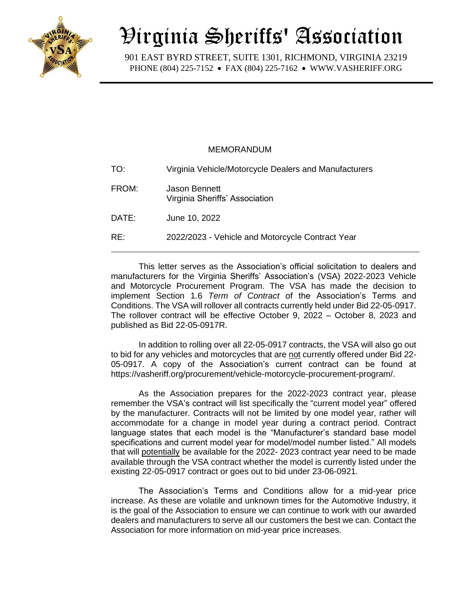

## Virginia Sheriffs' Association

 901 EAST BYRD STREET, SUITE 1301, RICHMOND, VIRGINIA 23219 PHONE (804) 225-7152 • FAX (804) 225-7162 • WWW.VASHERIFF.ORG

## MEMORANDUM

| TO:   | Virginia Vehicle/Motorcycle Dealers and Manufacturers |
|-------|-------------------------------------------------------|
| FROM: | Jason Bennett<br>Virginia Sheriffs' Association       |
| DATE: | June 10, 2022                                         |
| RE:   | 2022/2023 - Vehicle and Motorcycle Contract Year      |

This letter serves as the Association's official solicitation to dealers and manufacturers for the Virginia Sheriffs' Association's (VSA) 2022-2023 Vehicle and Motorcycle Procurement Program. The VSA has made the decision to implement Section 1.6 *Term of Contract* of the Association's Terms and Conditions. The VSA will rollover all contracts currently held under Bid 22-05-0917. The rollover contract will be effective October 9, 2022 – October 8, 2023 and published as Bid 22-05-0917R.

In addition to rolling over all 22-05-0917 contracts, the VSA will also go out to bid for any vehicles and motorcycles that are not currently offered under Bid 22- 05-0917. A copy of the Association's current contract can be found at https://vasheriff.org/procurement/vehicle-motorcycle-procurement-program/.

As the Association prepares for the 2022-2023 contract year, please remember the VSA's contract will list specifically the "current model year" offered by the manufacturer. Contracts will not be limited by one model year, rather will accommodate for a change in model year during a contract period. Contract language states that each model is the "Manufacturer's standard base model specifications and current model year for model/model number listed." All models that will potentially be available for the 2022- 2023 contract year need to be made available through the VSA contract whether the model is currently listed under the existing 22-05-0917 contract or goes out to bid under 23-06-0921.

The Association's Terms and Conditions allow for a mid-year price increase. As these are volatile and unknown times for the Automotive Industry, it is the goal of the Association to ensure we can continue to work with our awarded dealers and manufacturers to serve all our customers the best we can. Contact the Association for more information on mid-year price increases.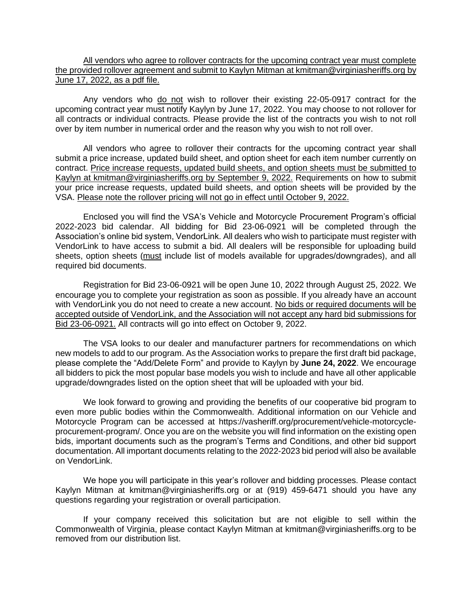All vendors who agree to rollover contracts for the upcoming contract year must complete the provided rollover agreement and submit to Kaylyn Mitman at kmitman@virginiasheriffs.org by June 17, 2022, as a pdf file.

Any vendors who do not wish to rollover their existing 22-05-0917 contract for the upcoming contract year must notify Kaylyn by June 17, 2022. You may choose to not rollover for all contracts or individual contracts. Please provide the list of the contracts you wish to not roll over by item number in numerical order and the reason why you wish to not roll over.

All vendors who agree to rollover their contracts for the upcoming contract year shall submit a price increase, updated build sheet, and option sheet for each item number currently on contract. Price increase requests, updated build sheets, and option sheets must be submitted to Kaylyn at kmitman@virginiasheriffs.org by September 9, 2022. Requirements on how to submit your price increase requests, updated build sheets, and option sheets will be provided by the VSA. Please note the rollover pricing will not go in effect until October 9, 2022.

Enclosed you will find the VSA's Vehicle and Motorcycle Procurement Program's official 2022-2023 bid calendar. All bidding for Bid 23-06-0921 will be completed through the Association's online bid system, VendorLink. All dealers who wish to participate must register with VendorLink to have access to submit a bid. All dealers will be responsible for uploading build sheets, option sheets (must include list of models available for upgrades/downgrades), and all required bid documents.

Registration for Bid 23-06-0921 will be open June 10, 2022 through August 25, 2022. We encourage you to complete your registration as soon as possible. If you already have an account with VendorLink you do not need to create a new account. No bids or required documents will be accepted outside of VendorLink, and the Association will not accept any hard bid submissions for Bid 23-06-0921. All contracts will go into effect on October 9, 2022.

The VSA looks to our dealer and manufacturer partners for recommendations on which new models to add to our program. As the Association works to prepare the first draft bid package, please complete the "Add/Delete Form" and provide to Kaylyn by **June 24, 2022**. We encourage all bidders to pick the most popular base models you wish to include and have all other applicable upgrade/downgrades listed on the option sheet that will be uploaded with your bid.

We look forward to growing and providing the benefits of our cooperative bid program to even more public bodies within the Commonwealth. Additional information on our Vehicle and Motorcycle Program can be accessed at https://vasheriff.org/procurement/vehicle-motorcycleprocurement-program/. Once you are on the website you will find information on the existing open bids, important documents such as the program's Terms and Conditions, and other bid support documentation. All important documents relating to the 2022-2023 bid period will also be available on VendorLink.

We hope you will participate in this year's rollover and bidding processes. Please contact Kaylyn Mitman at kmitman@virginiasheriffs.org or at (919) 459-6471 should you have any questions regarding your registration or overall participation.

If your company received this solicitation but are not eligible to sell within the Commonwealth of Virginia, please contact Kaylyn Mitman at kmitman@virginiasheriffs.org to be removed from our distribution list.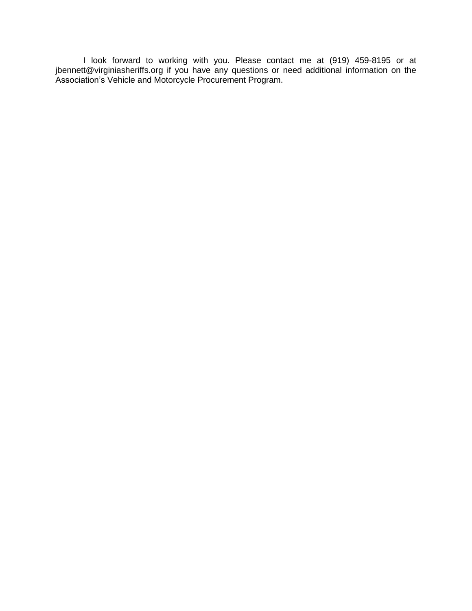I look forward to working with you. Please contact me at (919) 459-8195 or at jbennett@virginiasheriffs.org if you have any questions or need additional information on the Association's Vehicle and Motorcycle Procurement Program.